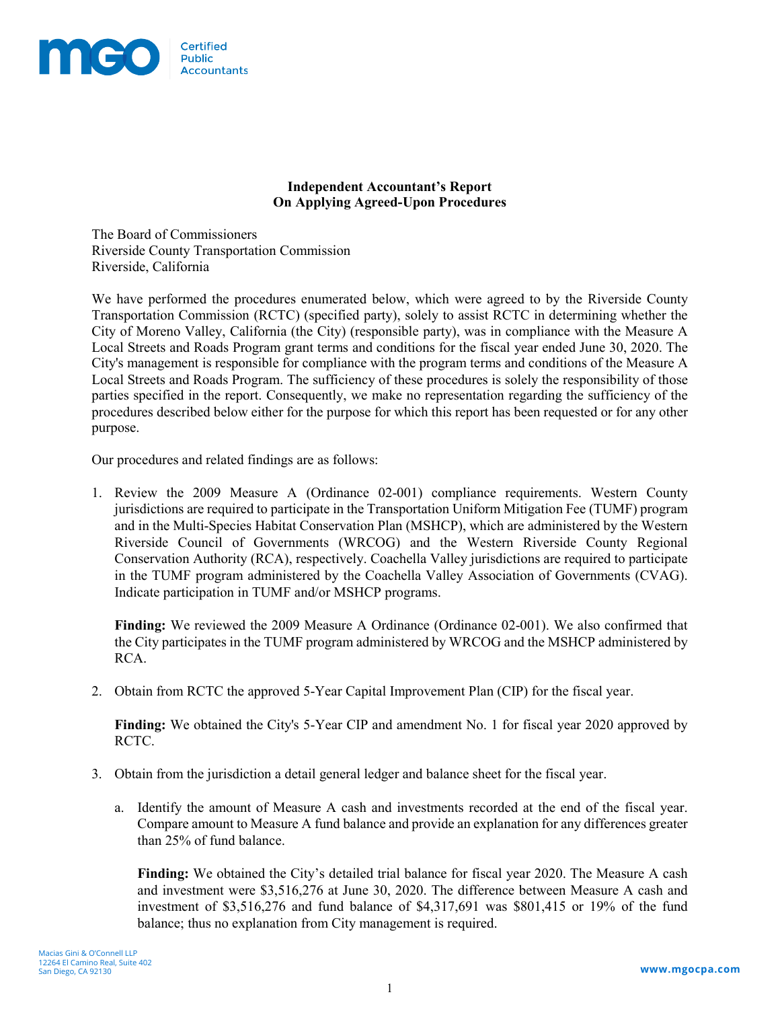

## **Independent Accountant's Report On Applying Agreed-Upon Procedures**

The Board of Commissioners Riverside County Transportation Commission Riverside, California

We have performed the procedures enumerated below, which were agreed to by the Riverside County Transportation Commission (RCTC) (specified party), solely to assist RCTC in determining whether the City of Moreno Valley, California (the City) (responsible party), was in compliance with the Measure A Local Streets and Roads Program grant terms and conditions for the fiscal year ended June 30, 2020. The City's management is responsible for compliance with the program terms and conditions of the Measure A Local Streets and Roads Program. The sufficiency of these procedures is solely the responsibility of those parties specified in the report. Consequently, we make no representation regarding the sufficiency of the procedures described below either for the purpose for which this report has been requested or for any other purpose.

Our procedures and related findings are as follows:

1. Review the 2009 Measure A (Ordinance 02-001) compliance requirements. Western County jurisdictions are required to participate in the Transportation Uniform Mitigation Fee (TUMF) program and in the Multi-Species Habitat Conservation Plan (MSHCP), which are administered by the Western Riverside Council of Governments (WRCOG) and the Western Riverside County Regional Conservation Authority (RCA), respectively. Coachella Valley jurisdictions are required to participate in the TUMF program administered by the Coachella Valley Association of Governments (CVAG). Indicate participation in TUMF and/or MSHCP programs.

**Finding:** We reviewed the 2009 Measure A Ordinance (Ordinance 02-001). We also confirmed that the City participates in the TUMF program administered by WRCOG and the MSHCP administered by RCA.

2. Obtain from RCTC the approved 5-Year Capital Improvement Plan (CIP) for the fiscal year.

**Finding:** We obtained the City's 5-Year CIP and amendment No. 1 for fiscal year 2020 approved by RCTC.

- 3. Obtain from the jurisdiction a detail general ledger and balance sheet for the fiscal year.
	- a. Identify the amount of Measure A cash and investments recorded at the end of the fiscal year. Compare amount to Measure A fund balance and provide an explanation for any differences greater than 25% of fund balance.

**Finding:** We obtained the City's detailed trial balance for fiscal year 2020. The Measure A cash and investment were \$3,516,276 at June 30, 2020. The difference between Measure A cash and investment of \$3,516,276 and fund balance of \$4,317,691 was \$801,415 or 19% of the fund balance; thus no explanation from City management is required.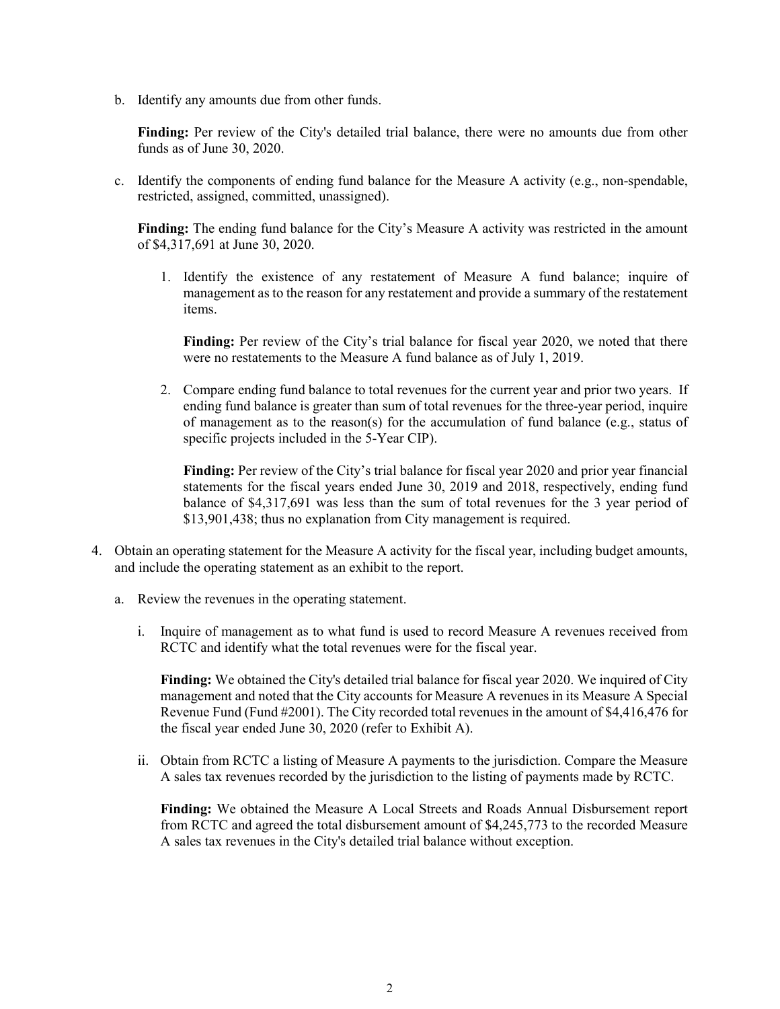b. Identify any amounts due from other funds.

**Finding:** Per review of the City's detailed trial balance, there were no amounts due from other funds as of June 30, 2020.

c. Identify the components of ending fund balance for the Measure A activity (e.g., non-spendable, restricted, assigned, committed, unassigned).

**Finding:** The ending fund balance for the City's Measure A activity was restricted in the amount of \$4,317,691 at June 30, 2020.

1. Identify the existence of any restatement of Measure A fund balance; inquire of management as to the reason for any restatement and provide a summary of the restatement items.

**Finding:** Per review of the City's trial balance for fiscal year 2020, we noted that there were no restatements to the Measure A fund balance as of July 1, 2019.

2. Compare ending fund balance to total revenues for the current year and prior two years. If ending fund balance is greater than sum of total revenues for the three-year period, inquire of management as to the reason(s) for the accumulation of fund balance (e.g., status of specific projects included in the 5-Year CIP).

**Finding:** Per review of the City's trial balance for fiscal year 2020 and prior year financial statements for the fiscal years ended June 30, 2019 and 2018, respectively, ending fund balance of \$4,317,691 was less than the sum of total revenues for the 3 year period of \$13,901,438; thus no explanation from City management is required.

- 4. Obtain an operating statement for the Measure A activity for the fiscal year, including budget amounts, and include the operating statement as an exhibit to the report.
	- a. Review the revenues in the operating statement.
		- i. Inquire of management as to what fund is used to record Measure A revenues received from RCTC and identify what the total revenues were for the fiscal year.

**Finding:** We obtained the City's detailed trial balance for fiscal year 2020. We inquired of City management and noted that the City accounts for Measure A revenues in its Measure A Special Revenue Fund (Fund #2001). The City recorded total revenues in the amount of \$4,416,476 for the fiscal year ended June 30, 2020 (refer to Exhibit A).

ii. Obtain from RCTC a listing of Measure A payments to the jurisdiction. Compare the Measure A sales tax revenues recorded by the jurisdiction to the listing of payments made by RCTC.

**Finding:** We obtained the Measure A Local Streets and Roads Annual Disbursement report from RCTC and agreed the total disbursement amount of \$4,245,773 to the recorded Measure A sales tax revenues in the City's detailed trial balance without exception.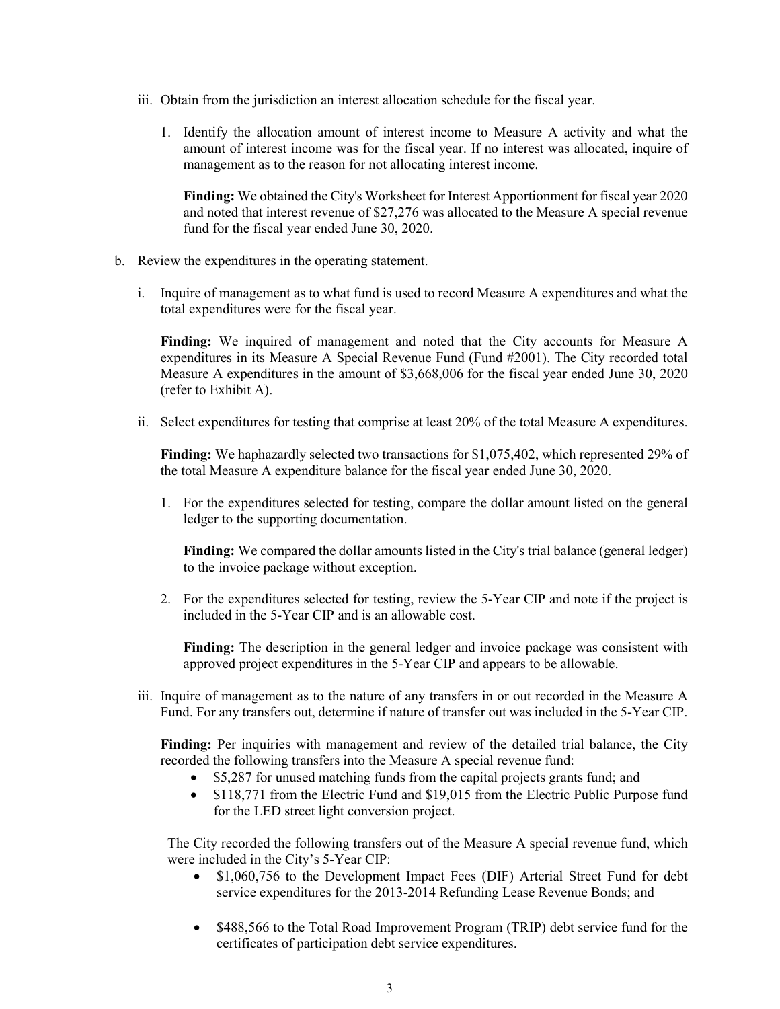- iii. Obtain from the jurisdiction an interest allocation schedule for the fiscal year.
	- 1. Identify the allocation amount of interest income to Measure A activity and what the amount of interest income was for the fiscal year. If no interest was allocated, inquire of management as to the reason for not allocating interest income.

**Finding:** We obtained the City's Worksheet for Interest Apportionment for fiscal year 2020 and noted that interest revenue of \$27,276 was allocated to the Measure A special revenue fund for the fiscal year ended June 30, 2020.

- b. Review the expenditures in the operating statement.
	- i. Inquire of management as to what fund is used to record Measure A expenditures and what the total expenditures were for the fiscal year.

**Finding:** We inquired of management and noted that the City accounts for Measure A expenditures in its Measure A Special Revenue Fund (Fund #2001). The City recorded total Measure A expenditures in the amount of \$3,668,006 for the fiscal year ended June 30, 2020 (refer to Exhibit A).

ii. Select expenditures for testing that comprise at least 20% of the total Measure A expenditures.

**Finding:** We haphazardly selected two transactions for \$1,075,402, which represented 29% of the total Measure A expenditure balance for the fiscal year ended June 30, 2020.

1. For the expenditures selected for testing, compare the dollar amount listed on the general ledger to the supporting documentation.

**Finding:** We compared the dollar amounts listed in the City's trial balance (general ledger) to the invoice package without exception.

2. For the expenditures selected for testing, review the 5-Year CIP and note if the project is included in the 5-Year CIP and is an allowable cost.

**Finding:** The description in the general ledger and invoice package was consistent with approved project expenditures in the 5-Year CIP and appears to be allowable.

iii. Inquire of management as to the nature of any transfers in or out recorded in the Measure A Fund. For any transfers out, determine if nature of transfer out was included in the 5-Year CIP.

**Finding:** Per inquiries with management and review of the detailed trial balance, the City recorded the following transfers into the Measure A special revenue fund:

- \$5,287 for unused matching funds from the capital projects grants fund; and
- \$118,771 from the Electric Fund and \$19,015 from the Electric Public Purpose fund for the LED street light conversion project.

The City recorded the following transfers out of the Measure A special revenue fund, which were included in the City's 5-Year CIP:

- \$1,060,756 to the Development Impact Fees (DIF) Arterial Street Fund for debt service expenditures for the 2013-2014 Refunding Lease Revenue Bonds; and
- \$488,566 to the Total Road Improvement Program (TRIP) debt service fund for the certificates of participation debt service expenditures.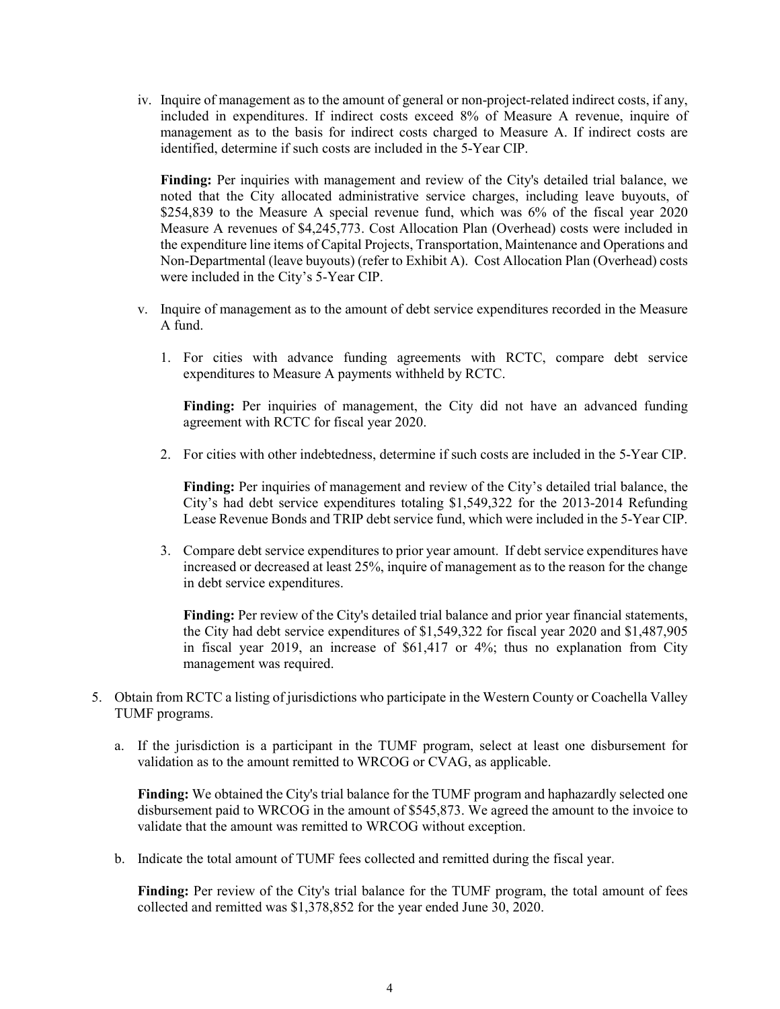iv. Inquire of management as to the amount of general or non-project-related indirect costs, if any, included in expenditures. If indirect costs exceed 8% of Measure A revenue, inquire of management as to the basis for indirect costs charged to Measure A. If indirect costs are identified, determine if such costs are included in the 5-Year CIP.

**Finding:** Per inquiries with management and review of the City's detailed trial balance, we noted that the City allocated administrative service charges, including leave buyouts, of \$254,839 to the Measure A special revenue fund, which was 6% of the fiscal year 2020 Measure A revenues of \$4,245,773. Cost Allocation Plan (Overhead) costs were included in the expenditure line items of Capital Projects, Transportation, Maintenance and Operations and Non-Departmental (leave buyouts) (refer to Exhibit A). Cost Allocation Plan (Overhead) costs were included in the City's 5-Year CIP.

- v. Inquire of management as to the amount of debt service expenditures recorded in the Measure A fund.
	- 1. For cities with advance funding agreements with RCTC, compare debt service expenditures to Measure A payments withheld by RCTC.

**Finding:** Per inquiries of management, the City did not have an advanced funding agreement with RCTC for fiscal year 2020.

2. For cities with other indebtedness, determine if such costs are included in the 5-Year CIP.

**Finding:** Per inquiries of management and review of the City's detailed trial balance, the City's had debt service expenditures totaling \$1,549,322 for the 2013-2014 Refunding Lease Revenue Bonds and TRIP debt service fund, which were included in the 5-Year CIP.

3. Compare debt service expenditures to prior year amount. If debt service expenditures have increased or decreased at least 25%, inquire of management as to the reason for the change in debt service expenditures.

**Finding:** Per review of the City's detailed trial balance and prior year financial statements, the City had debt service expenditures of \$1,549,322 for fiscal year 2020 and \$1,487,905 in fiscal year 2019, an increase of \$61,417 or 4%; thus no explanation from City management was required.

- 5. Obtain from RCTC a listing of jurisdictions who participate in the Western County or Coachella Valley TUMF programs.
	- a. If the jurisdiction is a participant in the TUMF program, select at least one disbursement for validation as to the amount remitted to WRCOG or CVAG, as applicable.

**Finding:** We obtained the City's trial balance for the TUMF program and haphazardly selected one disbursement paid to WRCOG in the amount of \$545,873. We agreed the amount to the invoice to validate that the amount was remitted to WRCOG without exception.

b. Indicate the total amount of TUMF fees collected and remitted during the fiscal year.

**Finding:** Per review of the City's trial balance for the TUMF program, the total amount of fees collected and remitted was \$1,378,852 for the year ended June 30, 2020.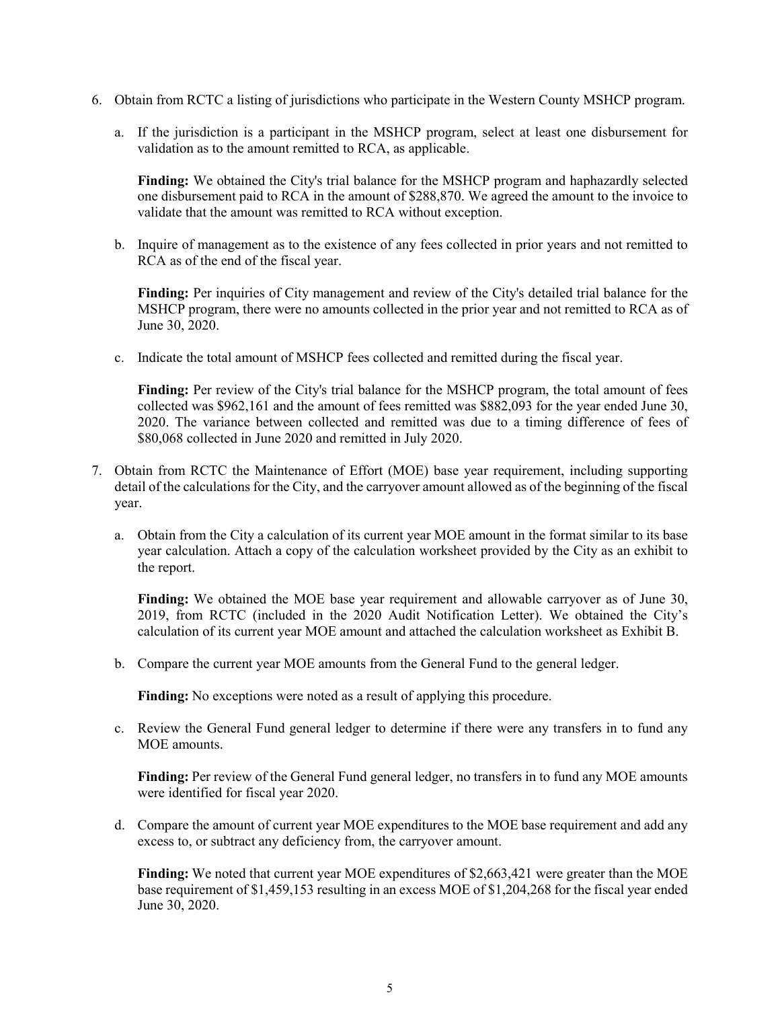- 6. Obtain from RCTC a listing of jurisdictions who participate in the Western County MSHCP program.
	- a. If the jurisdiction is a participant in the MSHCP program, select at least one disbursement for validation as to the amount remitted to RCA, as applicable.

**Finding:** We obtained the City's trial balance for the MSHCP program and haphazardly selected one disbursement paid to RCA in the amount of \$288,870. We agreed the amount to the invoice to validate that the amount was remitted to RCA without exception.

b. Inquire of management as to the existence of any fees collected in prior years and not remitted to RCA as of the end of the fiscal year.

**Finding:** Per inquiries of City management and review of the City's detailed trial balance for the MSHCP program, there were no amounts collected in the prior year and not remitted to RCA as of June 30, 2020.

c. Indicate the total amount of MSHCP fees collected and remitted during the fiscal year.

**Finding:** Per review of the City's trial balance for the MSHCP program, the total amount of fees collected was \$962,161 and the amount of fees remitted was \$882,093 for the year ended June 30, 2020. The variance between collected and remitted was due to a timing difference of fees of \$80,068 collected in June 2020 and remitted in July 2020.

- 7. Obtain from RCTC the Maintenance of Effort (MOE) base year requirement, including supporting detail of the calculations for the City, and the carryover amount allowed as of the beginning of the fiscal year.
	- a. Obtain from the City a calculation of its current year MOE amount in the format similar to its base year calculation. Attach a copy of the calculation worksheet provided by the City as an exhibit to the report.

**Finding:** We obtained the MOE base year requirement and allowable carryover as of June 30, 2019, from RCTC (included in the 2020 Audit Notification Letter). We obtained the City's calculation of its current year MOE amount and attached the calculation worksheet as Exhibit B.

b. Compare the current year MOE amounts from the General Fund to the general ledger.

**Finding:** No exceptions were noted as a result of applying this procedure.

c. Review the General Fund general ledger to determine if there were any transfers in to fund any MOE amounts.

**Finding:** Per review of the General Fund general ledger, no transfers in to fund any MOE amounts were identified for fiscal year 2020.

d. Compare the amount of current year MOE expenditures to the MOE base requirement and add any excess to, or subtract any deficiency from, the carryover amount.

**Finding:** We noted that current year MOE expenditures of \$2,663,421 were greater than the MOE base requirement of \$1,459,153 resulting in an excess MOE of \$1,204,268 for the fiscal year ended June 30, 2020.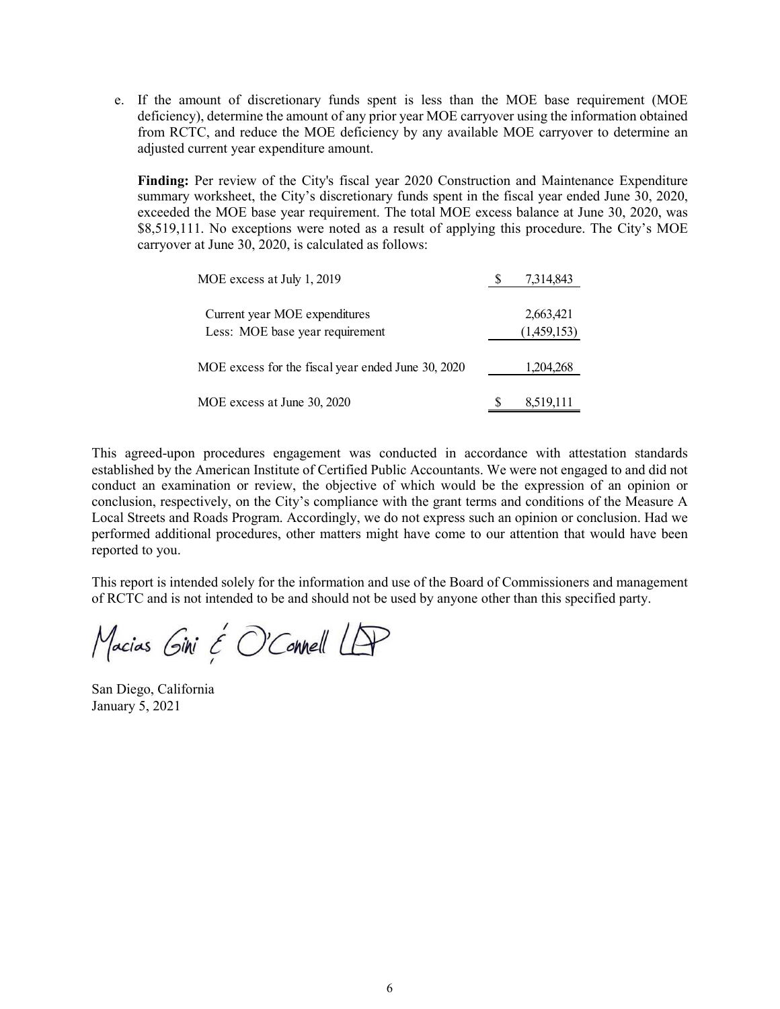e. If the amount of discretionary funds spent is less than the MOE base requirement (MOE deficiency), determine the amount of any prior year MOE carryover using the information obtained from RCTC, and reduce the MOE deficiency by any available MOE carryover to determine an adjusted current year expenditure amount.

**Finding:** Per review of the City's fiscal year 2020 Construction and Maintenance Expenditure summary worksheet, the City's discretionary funds spent in the fiscal year ended June 30, 2020, exceeded the MOE base year requirement. The total MOE excess balance at June 30, 2020, was \$8,519,111. No exceptions were noted as a result of applying this procedure. The City's MOE carryover at June 30, 2020, is calculated as follows:

| MOE excess at July 1, 2019                         | 7,314,843   |
|----------------------------------------------------|-------------|
| Current year MOE expenditures                      | 2,663,421   |
| Less: MOE base year requirement                    | (1,459,153) |
| MOE excess for the fiscal year ended June 30, 2020 | 1,204,268   |
| MOE excess at June 30, 2020                        | 8,519,111   |

This agreed-upon procedures engagement was conducted in accordance with attestation standards established by the American Institute of Certified Public Accountants. We were not engaged to and did not conduct an examination or review, the objective of which would be the expression of an opinion or conclusion, respectively, on the City's compliance with the grant terms and conditions of the Measure A Local Streets and Roads Program. Accordingly, we do not express such an opinion or conclusion. Had we performed additional procedures, other matters might have come to our attention that would have been reported to you.

This report is intended solely for the information and use of the Board of Commissioners and management of RCTC and is not intended to be and should not be used by anyone other than this specified party.

Macias Gini É O'Connell LAP

San Diego, California January 5, 2021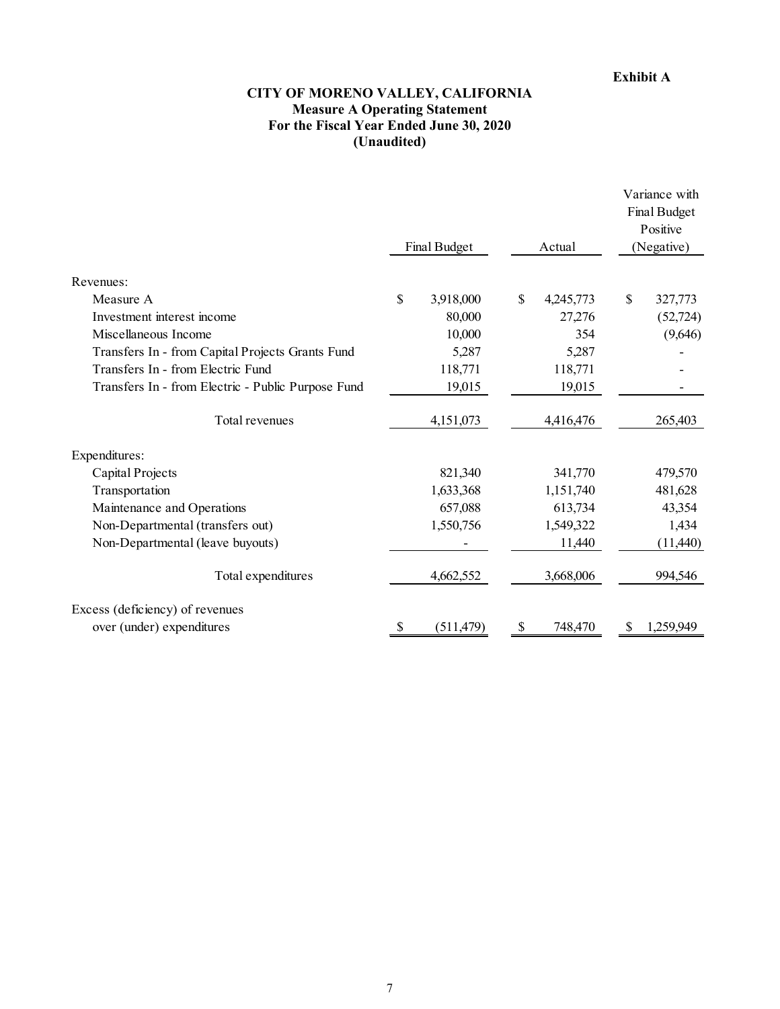## **CITY OF MORENO VALLEY, CALIFORNIA Measure A Operating Statement For the Fiscal Year Ended June 30, 2020 (Unaudited)**

|                                                    | Final Budget |            | Actual |           | Variance with<br>Final Budget<br>Positive<br>(Negative) |           |
|----------------------------------------------------|--------------|------------|--------|-----------|---------------------------------------------------------|-----------|
| Revenues:                                          |              |            |        |           |                                                         |           |
| Measure A                                          | \$           | 3,918,000  | \$     | 4,245,773 | \$                                                      | 327,773   |
| Investment interest income                         |              | 80,000     |        | 27,276    |                                                         | (52, 724) |
| Miscellaneous Income                               |              | 10,000     |        | 354       |                                                         | (9,646)   |
| Transfers In - from Capital Projects Grants Fund   |              | 5,287      |        | 5,287     |                                                         |           |
| Transfers In - from Electric Fund                  |              | 118,771    |        | 118,771   |                                                         |           |
| Transfers In - from Electric - Public Purpose Fund |              | 19,015     |        | 19,015    |                                                         |           |
| Total revenues                                     |              | 4,151,073  |        | 4,416,476 |                                                         | 265,403   |
| Expenditures:                                      |              |            |        |           |                                                         |           |
| Capital Projects                                   |              | 821,340    |        | 341,770   |                                                         | 479,570   |
| Transportation                                     |              | 1,633,368  |        | 1,151,740 |                                                         | 481,628   |
| Maintenance and Operations                         |              | 657,088    |        | 613,734   |                                                         | 43,354    |
| Non-Departmental (transfers out)                   |              | 1,550,756  |        | 1,549,322 |                                                         | 1,434     |
| Non-Departmental (leave buyouts)                   |              |            |        | 11,440    |                                                         | (11,440)  |
| Total expenditures                                 |              | 4,662,552  |        | 3,668,006 |                                                         | 994,546   |
| Excess (deficiency) of revenues                    |              |            |        |           |                                                         |           |
| over (under) expenditures                          | <sup>S</sup> | (511, 479) | \$     | 748,470   | S                                                       | 1,259,949 |